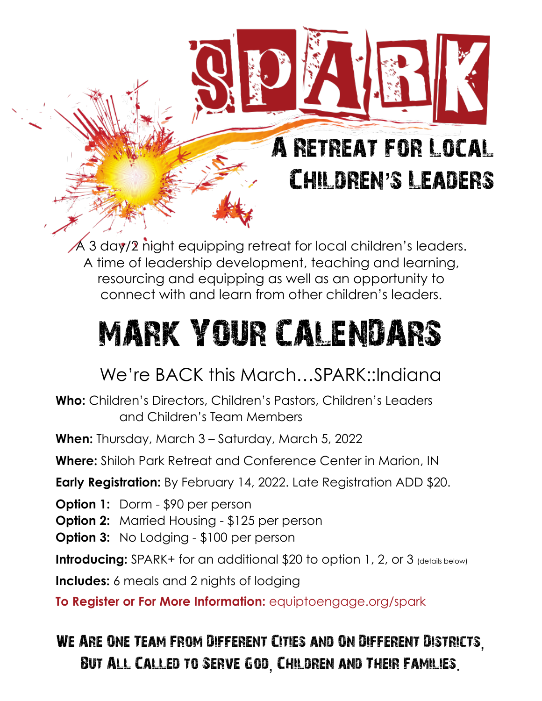## A Retreat for Local Children's Leaders

 $\overline{\mathsf{A}}$  3 day/2 night equipping retreat for local children's leaders. A time of leadership development, teaching and learning, resourcing and equipping as well as an opportunity to connect with and learn from other children's leaders.

# MARK YOUR CALENDARS

## We're BACK this March…SPARK::Indiana

**Who:** Children's Directors, Children's Pastors, Children's Leaders and Children's Team Members

**When:** Thursday, March 3 – Saturday, March 5, 2022

**Where:** Shiloh Park Retreat and Conference Center in Marion, IN

**Early Registration:** By February 14, 2022. Late Registration ADD \$20.

**Option 1:** Dorm - \$90 per person

**Option 2:** Married Housing - \$125 per person

**Option 3:** No Lodging - \$100 per person

**Introducing:** SPARK+ for an additional \$20 to option 1, 2, or 3 (details below)

**Includes:** 6 meals and 2 nights of lodging

**To Register or For More Information:** equiptoengage.org/spark

## We Are One Team From Different Cities and On Different Districts, But All Called to Serve God, Children and Their Families.